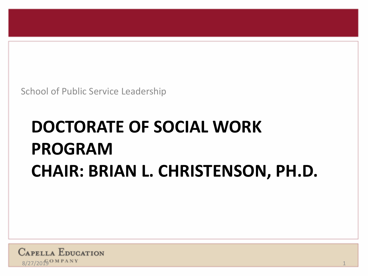School of Public Service Leadership

# **DOCTORATE OF SOCIAL WORK PROGRAM CHAIR: BRIAN L. CHRISTENSON, PH.D.**

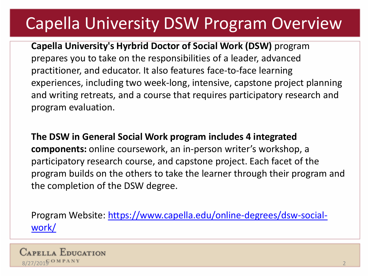## Capella University DSW Program Overview

**Capella University's Hyrbrid Doctor of Social Work (DSW)** program prepares you to take on the responsibilities of a leader, advanced practitioner, and educator. It also features face-to-face learning experiences, including two week-long, intensive, capstone project planning and writing retreats, and a course that requires participatory research and program evaluation.

**The DSW in General Social Work program includes 4 integrated components:** online coursework, an in-person writer's workshop, a participatory research course, and capstone project. Each facet of the program builds on the others to take the learner through their program and the completion of the DSW degree.

[Program Website: https://www.capella.edu/online-degrees/dsw-social](https://www.capella.edu/online-degrees/dsw-social-work/)work/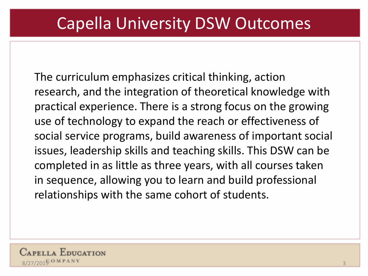### Capella University DSW Outcomes

The curriculum emphasizes critical thinking, action research, and the integration of theoretical knowledge with practical experience. There is a strong focus on the growing use of technology to expand the reach or effectiveness of social service programs, build awareness of important social issues, leadership skills and teaching skills. This DSW can be completed in as little as three years, with all courses taken in sequence, allowing you to learn and build professional relationships with the same cohort of students.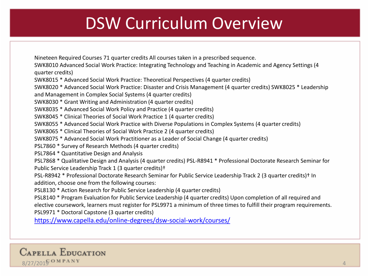### DSW Curriculum Overview

Nineteen Required Courses 71 quarter credits All courses taken in a prescribed sequence.

SWK8010 Advanced Social Work Practice: Integrating Technology and Teaching in Academic and Agency Settings (4 quarter credits)

SWK8015 \* Advanced Social Work Practice: Theoretical Perspectives (4 quarter credits)

SWK8020 \* Advanced Social Work Practice: Disaster and Crisis Management (4 quarter credits) SWK8025 \* Leadership and Management in Complex Social Systems (4 quarter credits)

SWK8030 \* Grant Writing and Administration (4 quarter credits)

SWK8035 \* Advanced Social Work Policy and Practice (4 quarter credits)

SWK8045 \* Clinical Theories of Social Work Practice 1 (4 quarter credits)

SWK8055 \* Advanced Social Work Practice with Diverse Populations in Complex Systems (4 quarter credits)

SWK8065 \* Clinical Theories of Social Work Practice 2 (4 quarter credits)

SWK8075 \* Advanced Social Work Practitioner as a Leader of Social Change (4 quarter credits)

PSL7860 \* Survey of Research Methods (4 quarter credits)

PSL7864 \* Quantitative Design and Analysis

PSL7868 \* Qualitative Design and Analysis (4 quarter credits) PSL-R8941 \* Professional Doctorate Research Seminar for Public Service Leadership Track 1 (3 quarter credits)†

PSL-R8942 \* Professional Doctorate Research Seminar for Public Service Leadership Track 2 (3 quarter credits)† In addition, choose one from the following courses:

PSL8130 \* Action Research for Public Service Leadership (4 quarter credits)

PSL8140 \* Program Evaluation for Public Service Leadership (4 quarter credits) Upon completion of all required and elective coursework, learners must register for PSL9971 a minimum of three times to fulfill their program requirements. PSL9971 \* Doctoral Capstone (3 quarter credits)

<https://www.capella.edu/online-degrees/dsw-social-work/courses/>

**CAPELLA EDUCATION**  $8/27/2016$  OMPANY 4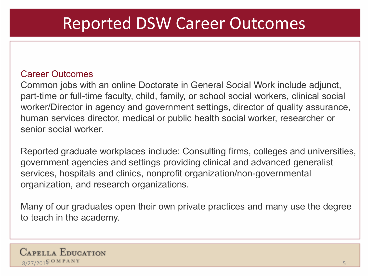#### Reported DSW Career Outcomes

#### Career Outcomes

Common jobs with an online Doctorate in General Social Work include adjunct, part-time or full-time faculty, child, family, or school social workers, clinical social worker/Director in agency and government settings, director of quality assurance, human services director, medical or public health social worker, researcher or senior social worker.

Reported graduate workplaces include: Consulting firms, colleges and universities, government agencies and settings providing clinical and advanced generalist services, hospitals and clinics, nonprofit organization/non-governmental organization, and research organizations.

Many of our graduates open their own private practices and many use the degree to teach in the academy.